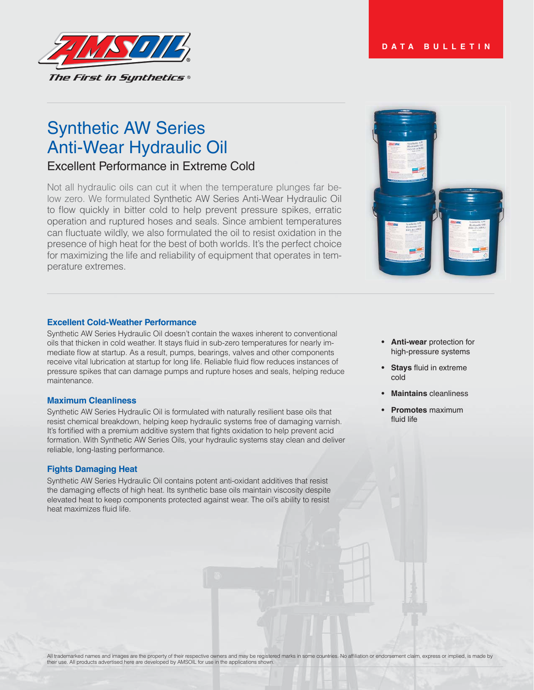#### **DATA BULLETIN**



# Synthetic AW Series Anti-Wear Hydraulic Oil

# Excellent Performance in Extreme Cold

Not all hydraulic oils can cut it when the temperature plunges far below zero. We formulated Synthetic AW Series Anti-Wear Hydraulic Oil to flow quickly in bitter cold to help prevent pressure spikes, erratic operation and ruptured hoses and seals. Since ambient temperatures can fluctuate wildly, we also formulated the oil to resist oxidation in the presence of high heat for the best of both worlds. It's the perfect choice for maximizing the life and reliability of equipment that operates in temperature extremes.

#### **Excellent Cold-Weather Performance**

Synthetic AW Series Hydraulic Oil doesn't contain the waxes inherent to conventional oils that thicken in cold weather. It stays fluid in sub-zero temperatures for nearly immediate flow at startup. As a result, pumps, bearings, valves and other components receive vital lubrication at startup for long life. Reliable fluid flow reduces instances of pressure spikes that can damage pumps and rupture hoses and seals, helping reduce maintenance.

#### **Maximum Cleanliness**

Synthetic AW Series Hydraulic Oil is formulated with naturally resilient base oils that resist chemical breakdown, helping keep hydraulic systems free of damaging varnish. It's fortified with a premium additive system that fights oxidation to help prevent acid formation. With Synthetic AW Series Oils, your hydraulic systems stay clean and deliver reliable, long-lasting performance.

#### **Fights Damaging Heat**

Synthetic AW Series Hydraulic Oil contains potent anti-oxidant additives that resist the damaging effects of high heat. Its synthetic base oils maintain viscosity despite elevated heat to keep components protected against wear. The oil's ability to resist heat maximizes fluid life.

- **Anti-wear** protection for high-pressure systems
- **Stays** fluid in extreme cold
- **Maintains** cleanliness
- **Promotes** maximum fluid life

All trademarked names and images are the property of their respective owners and may be registered marks in some countries. No affiliation or endorsement claim, express or implied, is made by their use. All products advertised here are developed by AMSOIL for use in the applications shown